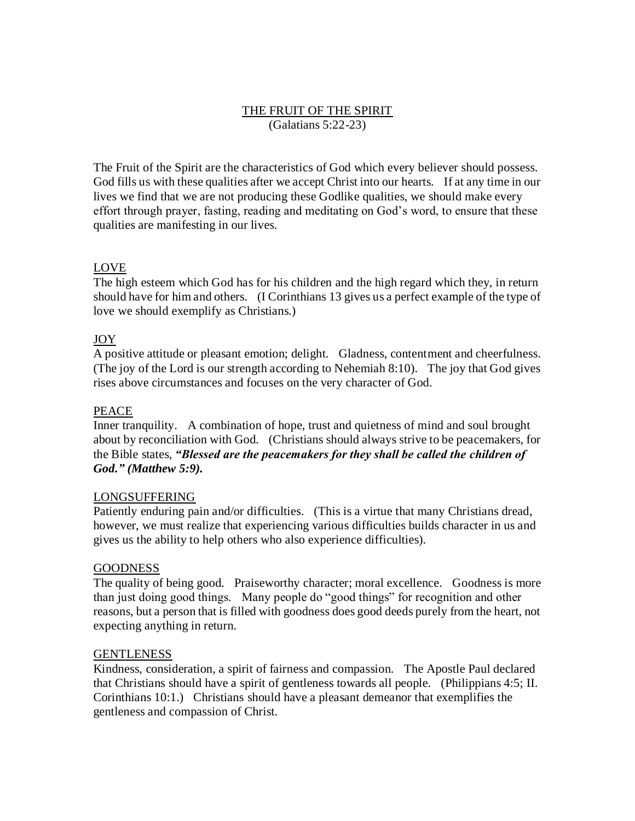# THE FRUIT OF THE SPIRIT (Galatians 5:22-23)

The Fruit of the Spirit are the characteristics of God which every believer should possess. God fills us with these qualities after we accept Christ into our hearts. If at any time in our lives we find that we are not producing these Godlike qualities, we should make every effort through prayer, fasting, reading and meditating on God's word, to ensure that these qualities are manifesting in our lives.

## LOVE

The high esteem which God has for his children and the high regard which they, in return should have for him and others. (I Corinthians 13 gives us a perfect example of the type of love we should exemplify as Christians.)

## JOY

A positive attitude or pleasant emotion; delight. Gladness, contentment and cheerfulness. (The joy of the Lord is our strength according to Nehemiah 8:10). The joy that God gives rises above circumstances and focuses on the very character of God.

## PEACE

Inner tranquility. A combination of hope, trust and quietness of mind and soul brought about by reconciliation with God. (Christians should always strive to be peacemakers, for the Bible states, *"Blessed are the peacemakers for they shall be called the children of God." (Matthew 5:9).*

### LONGSUFFERING

Patiently enduring pain and/or difficulties. (This is a virtue that many Christians dread, however, we must realize that experiencing various difficulties builds character in us and gives us the ability to help others who also experience difficulties).

### GOODNESS

The quality of being good. Praiseworthy character; moral excellence. Goodness is more than just doing good things. Many people do "good things" for recognition and other reasons, but a person that is filled with goodness does good deeds purely from the heart, not expecting anything in return.

### GENTLENESS

Kindness, consideration, a spirit of fairness and compassion. The Apostle Paul declared that Christians should have a spirit of gentleness towards all people. (Philippians 4:5; II. Corinthians 10:1.) Christians should have a pleasant demeanor that exemplifies the gentleness and compassion of Christ.